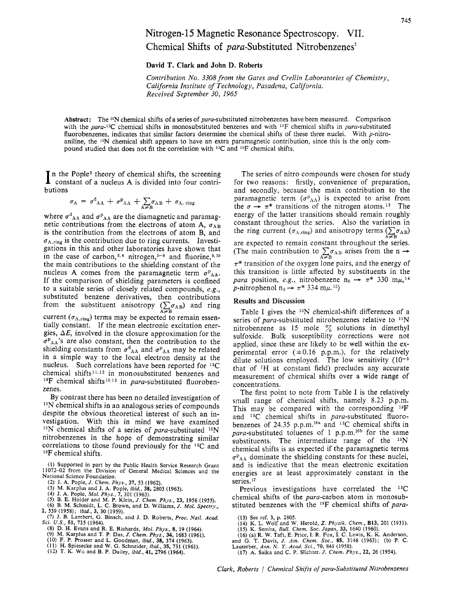# Nitrogen- 15 Magnetic Resonance Spectroscopy. VII. Chemical Shifts of para-Substituted Nitrobenzenes'

**David T. Clark and John D. Roberts** 

Contribution *No.* 3308 from the Gates and Crellin Laboratories *of* Chemistry, California Institute of Technology, Pasadena, California. Received September 30, *1965* 

**Abstract:** The 15N chemical shifts of a series of para-substituted nitrobenzenes have been measured. Comparison with the para-<sup>13</sup>C chemical shifts in monosubstituted benzenes and with <sup>19</sup>F chemical shifts in para-substituted fluorobenzenes, indicates that similar factors determine the chemical shifts of these three nuclei. With p-nitroaniline, the <sup>15</sup>N chemical shift appears to have an extra paramagnetic contribution, since this is the only compound studied that does not fit the correlation with <sup>13</sup>C and <sup>19</sup>F chemical shifts.

In the Pople<sup>2</sup> theory of chemical shifts, the screening constant of a nucleus A is divided into four contributions

$$
\sigma_{A} = \sigma^{d}_{AA} + \sigma^{p}_{AA} + \sum_{A \neq B} \sigma_{AB} + \sigma_{A, \text{ ring}}
$$

where  $\sigma_{AA}^d$  and  $\sigma_{AA}^p$  are the diamagnetic and paramagnetic contributions from the electrons of atom A,  $\sigma_{AB}$ is the contribution from the electrons of atom B, and  $\sigma_{A, \text{ring}}$  is the contribution due to ring currents. Investigations in this and other laboratories have shown that in the case of carbon,<sup>3,4</sup> nitrogen,<sup>5-8</sup> and fluorine,<sup>9,10</sup> the main contributions to the shielding constant of the nucleus A comes from the paramagnetic term  $\sigma_{AA}^P$ . If the comparison of shielding parameters is confined to a suitable series of closely related compounds, e.g., substituted benzene derivatives, then contributions from the substituent anisotropy  $\left(\sum_{A\neq B} \sigma_{AB}\right)$  and ring current  $(\sigma_{A,ring})$  terms may be expected to remain essentially constant. If the mean electronic excitation energies,  $\Delta E$ , involved in the closure approximation for the  $\sigma_{AA}$ 's are also constant, then the contribution to the shielding constants from  $\sigma_{AA}^d$  and  $\sigma_{AA}^p$  may be related in a simple way to the local electron density at the nucleus. Such correlations have been reported for 13C chemical shifts<sup>11,12</sup> in monosubstituted benzenes and <sup>19</sup>F chemical shifts<sup>10,12</sup> in para-substituted fluoroben-

By contrast there has been no detailed investigation of <sup>15</sup>N chemical shifts in an analogous series of compounds despite the obvious theoretical interest of such an investigation. With this in mind we have examined  $^{15}N$  chemical shifts of a series of para-substituted  $^{15}N$ nitrobenzenes in the hope of demonstrating similar correlations to those found previously for the <sup>13</sup>C and 19F chemical shifts.

**(1)** Supported in part by the Public Health Service Research Grant **11072-02** from the Division *of* General Medical Sciences and the National Science Foundation.

zenes.

(2) J. A. Pople, *J. Chem. Phys.*, 37, 53 (1962).<br>(3) M. Karplus and J. A. Pople, *ibid.*, 38, 2803 (1963).<br>(4) J. A. Pople, *Mol. Phys.*, 7, 301 (1963).<br>(5) B. E. Holder and M. P. Klein, *J. Chem. Phys.*, 23, 1956 (1955).

- 
- **(7) J.** B. Lambert, *G.* Binsch, and J. D. Roberts, *Proc. Natl. Acad.*  **2, 539 (1958);** *ibid.,* **3, 30 (1959).**
- **(8)** D. H. Evans and R. E. Richards, *Mol. Phys.,* **8, 19 (1964).**  *Sci. US.,* **51, 735 (1964).**
- 

- (9) M. Karplus and T. P. Das, *J. Chem. Phys.*, 34, 1683 (1961).<br>(10) F. P. Prosser and L. Goodman, *ibid.*, 38, 374 (1963).<br>(11) H. Spiesecke and W. G. Schneider, *ibid.*, 35, 731 (1961).<br>(12) T. K. Wu and B. P. Dailey,
- 

The series of nitro compounds were chosen for study for two reasons: firstly, convenience of preparation, and secondly, because the main contribution to the paramagnetic term  $(\sigma_{AA})$  is expected to arise from the  $\sigma \rightarrow \pi^*$  transitions of the nitrogen atoms.<sup>13</sup> The energy of the latter transitions should remain roughly constant throughout the series. Also the variation in the ring current  $(\sigma_{A,\text{ring}})$  and anisotropy terms  $\left(\sum_{A \neq B} \sigma_{AB}\right)$ are expected to remain constant throughout the series.<br>(The main contribution to  $\sum_{A \neq B} \sigma_{AB}$  arises from the n  $\rightarrow$  $\pi^*$  transition of the oxygen lone pairs, and the energy of this transition is little affected by substituents in the para position, e.g., nitrobenzene  $n_0 \rightarrow \pi^*$  330 m $\mu$ ,<sup>14</sup> p-nitrophenol  $n_0 \rightarrow \pi^*$  334  $m\mu$ .<sup>15</sup>)

### **Results and Discussion**

Table I gives the  $15N$  chemical-shift differences of a series of para-substituted nitrobenzenes relative to <sup>15</sup>N nitrobenzene as 15 mole  $\%$  solutions in dimethyl sulfoxide. Bulk susceptibility corrections were not applied, since these are likely to be well within the experimental error  $(\pm 0.16 \text{ p.p.m.})$ , for the relatively dilute solutions employed. The low sensitivity ( that of IH at constant field) precludes any accurate measurement of chemical shifts over a wide range of concentrations.

The first point to note from Table I is the relatively small range of chemical shifts, namely 8.23 p.p.m. This may be compared with the corresponding '9F and  $^{13}$ C chemical shifts in para-substituted fluorobenzenes of 24.35 p.p.m.<sup>16a</sup> and <sup>13</sup>C chemical shifts in para-substituted toluenes of 1 p.p.m.<sup>16b</sup> for the same substituents. The intermediate range of the <sup>15</sup>N chemical shifts is as expected if the paramagnetic terms  $\sigma_{AA}$  dominate the shielding constants for these nuclei, and is indicative that the mean electronic excitation energies are at least approximately constant in the series.<sup>17</sup>

chemical shifts of the para-carbon atom in monosubstituted benzenes with the <sup>19</sup>F chemical shifts of para-Previous investigations have correlated the <sup>13</sup>C

- **(14)** K. L. Wolf and W. Herold, *Z. Physik. Chem.,* **B13, 201 (1931). (15)** K. Semba, *Bull. Chem.* **SOC.** *Japan,* **33, 1640 (1960).**
- 
- (16) (a) R. W. Taft, E. Price, I. R. Fox, I. C. Lewis, K. K. Anderson, and G. T. Davis, J. Am. Chem. Soc., 85, 3146 (1963); (b) P. C. Lauterber, Ann. N. Y. Acad. Sci., 70, 841 (1958). (17) A. Saika and C. P. Slichter. J. C
- 

**<sup>(13)</sup>** See ref. **3,** p. **2805.**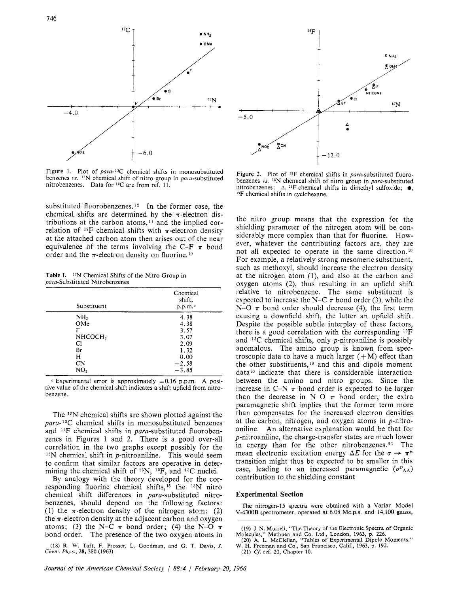

Figure 1. Plot of para-13C chemical shifts in monosubstituted benzenes *vs.* <sup>15</sup>N chemical shift of nitro group in para-substituted nitrobenzenes. Data for 13C are from ref. 11.

substituted fluorobenzenes.12 In the former case, the chemical shifts are determined by the  $\pi$ -electron distributions at the carbon atoms, $11$  and the implied correlation of <sup>19</sup>F chemical shifts with  $\pi$ -electron density at the attached carbon atom then arises out of the near equivalence of the terms involving the C-F  $\pi$  bond order and the  $\pi$ -electron density on fluorine.<sup>10</sup>

**Table I.**  15N Chemical Shifts of the Nitro Group in para-Substituted Nitrobenzenes

| Substituent         | Chemical<br>shift,<br>p.p.m. <sup>a</sup> |
|---------------------|-------------------------------------------|
| NH <sub>2</sub>     | 4.38                                      |
| OMe                 | 4.38                                      |
| F                   | 3.57                                      |
| NHCOCH <sub>3</sub> | 3.07                                      |
| Cl                  | 2.09                                      |
| Br                  | 1.32                                      |
| Н                   | 0.00                                      |
| CN                  | $-2.58$                                   |
| NO <sub>2</sub>     | $-3.85$                                   |

<sup>*a*</sup> Experimental error is approximately  $\pm 0.16$  p.p.m. A positive value of the chemical shift indicates a shift upfield from nitrobenzene.

The  $15N$  chemical shifts are shown plotted against the  $para-13C$  chemical shifts in monosubstituted benzenes and <sup>19</sup>F chemical shifts in *para*-substituted fluorobenzenes in Figures 1 and *2.* There is a good over-all correlation in the two graphs except possibly for the **15N** chemical shift in p-nitroaniline. This would seem to confirm that similar factors are operative in determining the chemical shift of 15N, 19F, and **13C** nuclei.

By analogy with the theory developed for the corresponding fluorine chemical shifts, l8 the **15N** nitro chemical shift differences in para-substituted nitrobenzenes, should depend on the following factors: (1) the  $\pi$ -electron density of the nitrogen atom; (2) the  $\pi$ -electron density at the adjacent carbon and oxygen atoms; (3) the N-C  $\pi$  bond order; (4) the N-O  $\pi$ bond order. The presence of the two oxygen atoms in

(18) R. W. Taft, F. hosser, **L.** Goodman, and *G.* T. Davis, *J. Chem. Phys.,* **38,** 380 (1963).



Figure 2. Plot of <sup>19</sup>F chemical shifts in para-substituted fluorobenzenes *vs.* 15N chemical shift of nitro group in para-substituted nitrobenzenes: **A,** 19F chemical shifts in dimethyl sulfoxide; *0,*  l9F chemical shifts in cyclohexane.

the nitro group means that the expression for the shielding parameter of the nitrogen atom will be considerably more complex than that for fluorine. However, whatever the contributing factors are, they are not all expected to operate in the same direction.<sup>10</sup> For example, a relatively strong mesomeric substituent, such as methoxyl, should increase the electron density at the nitrogen atom (l), and also at the carbon and oxygen atoms *(2),* thus resulting in an upfield shift relative to nitrobenzene. The same substituent is expected to increase the N-C  $\pi$  bond order (3), while the N-O  $\pi$  bond order should decrease (4), the first term causing a downfield shift, the latter an upfield shift. Despite the possible subtle interplay of these factors, there is a good correlation with the corresponding  $^{19}F$ and  $13C$  chemical shifts, only *p*-nitroaniline is possibly anomalous. The amino group is known from spectroscopic data to have a much larger  $(+M)$  effect than the other substituents,  $19$  and this and dipole moment data<sup>20</sup> indicate that there is considerable interaction between the amino and nitro groups. Since the increase in C-N  $\pi$  bond order is expected to be larger than the decrease in N-O  $\pi$  bond order, the extra paramagnetic shift implies that the former term more than compensates for the increased electron densities at the carbon, nitrogen, and oxygen atoms in p-nitroaniline. An alternative explanation would be that for p-nitroaniline, the charge-transfer states are much lower in energy than for the other nitrobenzenes.<sup>21</sup> The mean electronic excitation energy  $\Delta E$  for the  $\sigma \rightarrow \pi^*$ transition might thus be expected to be smaller in this case, leading to an increased paramagnetic  $(\sigma^p_{AA})$ contribution to the shielding constant

#### **Experimental Section**

The nitrogen-15 spectra were obtained with a Varian Model V-4300B spectrometer, operated at 6.08 Mc.p.s. and 14,100 gauss,

<sup>(19)</sup> J. N. Murrell, "The Theory of the Electronic Spectra of Organic Molecules," Methuen and Co. Ltd., London, 1963, p. 226.<br>(20) A. L. McClellan, "Tables of Experimental Dipole Moments,"

W. H. Freeman and Co., San Francisco, Calif., 1963, p. 192.

<sup>(21)</sup> *Cf.* ref. 20, Chapter 10.